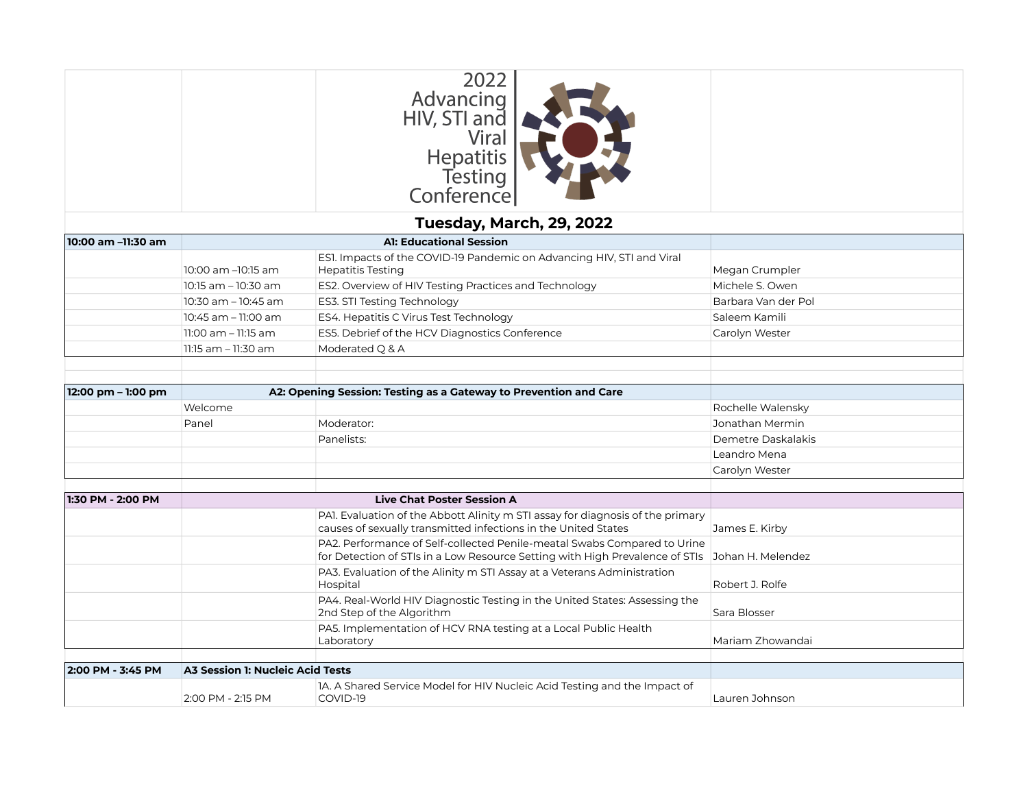|                    |                                         | 2022<br>Advancing<br>HIV, STI and<br>Viral<br><b>Hepatitis</b><br>Testing<br>Conference                                                                                    |                     |
|--------------------|-----------------------------------------|----------------------------------------------------------------------------------------------------------------------------------------------------------------------------|---------------------|
|                    |                                         | Tuesday, March, 29, 2022                                                                                                                                                   |                     |
| 10:00 am -11:30 am |                                         | <b>A1: Educational Session</b>                                                                                                                                             |                     |
|                    | 10:00 am -10:15 am                      | ESI. Impacts of the COVID-19 Pandemic on Advancing HIV, STI and Viral<br><b>Hepatitis Testing</b>                                                                          | Megan Crumpler      |
|                    | 10:15 am - 10:30 am                     | ES2. Overview of HIV Testing Practices and Technology                                                                                                                      | Michele S. Owen     |
|                    | 10:30 am - 10:45 am                     | ES3. STI Testing Technology                                                                                                                                                | Barbara Van der Pol |
|                    | 10:45 am - 11:00 am                     | ES4. Hepatitis C Virus Test Technology                                                                                                                                     | Saleem Kamili       |
|                    | 11:00 am - 11:15 am                     | ES5. Debrief of the HCV Diagnostics Conference                                                                                                                             | Carolyn Wester      |
|                    | 11:15 am - 11:30 am                     | Moderated Q & A                                                                                                                                                            |                     |
| 12:00 pm - 1:00 pm |                                         | A2: Opening Session: Testing as a Gateway to Prevention and Care                                                                                                           |                     |
|                    | Welcome                                 |                                                                                                                                                                            | Rochelle Walensky   |
|                    | Panel                                   | Moderator:                                                                                                                                                                 | Jonathan Mermin     |
|                    |                                         | Panelists:                                                                                                                                                                 | Demetre Daskalakis  |
|                    |                                         |                                                                                                                                                                            | Leandro Mena        |
|                    |                                         |                                                                                                                                                                            | Carolyn Wester      |
| 1:30 PM - 2:00 PM  |                                         | <b>Live Chat Poster Session A</b>                                                                                                                                          |                     |
|                    |                                         | PAI. Evaluation of the Abbott Alinity m STI assay for diagnosis of the primary<br>causes of sexually transmitted infections in the United States                           | James E. Kirby      |
|                    |                                         | PA2. Performance of Self-collected Penile-meatal Swabs Compared to Urine<br>for Detection of STIs in a Low Resource Setting with High Prevalence of STIs Johan H. Melendez |                     |
|                    |                                         | PA3. Evaluation of the Alinity m STI Assay at a Veterans Administration<br>Hospital                                                                                        | Robert J. Rolfe     |
|                    |                                         | PA4. Real-World HIV Diagnostic Testing in the United States: Assessing the<br>2nd Step of the Algorithm                                                                    | Sara Blosser        |
|                    |                                         | PA5. Implementation of HCV RNA testing at a Local Public Health<br>Laboratory                                                                                              | Mariam Zhowandai    |
|                    |                                         |                                                                                                                                                                            |                     |
| 2:00 PM - 3:45 PM  | <b>A3 Session 1: Nucleic Acid Tests</b> |                                                                                                                                                                            |                     |
|                    | 2:00 PM - 2:15 PM                       | 1A. A Shared Service Model for HIV Nucleic Acid Testing and the Impact of<br>COVID-19                                                                                      | Lauren Johnson      |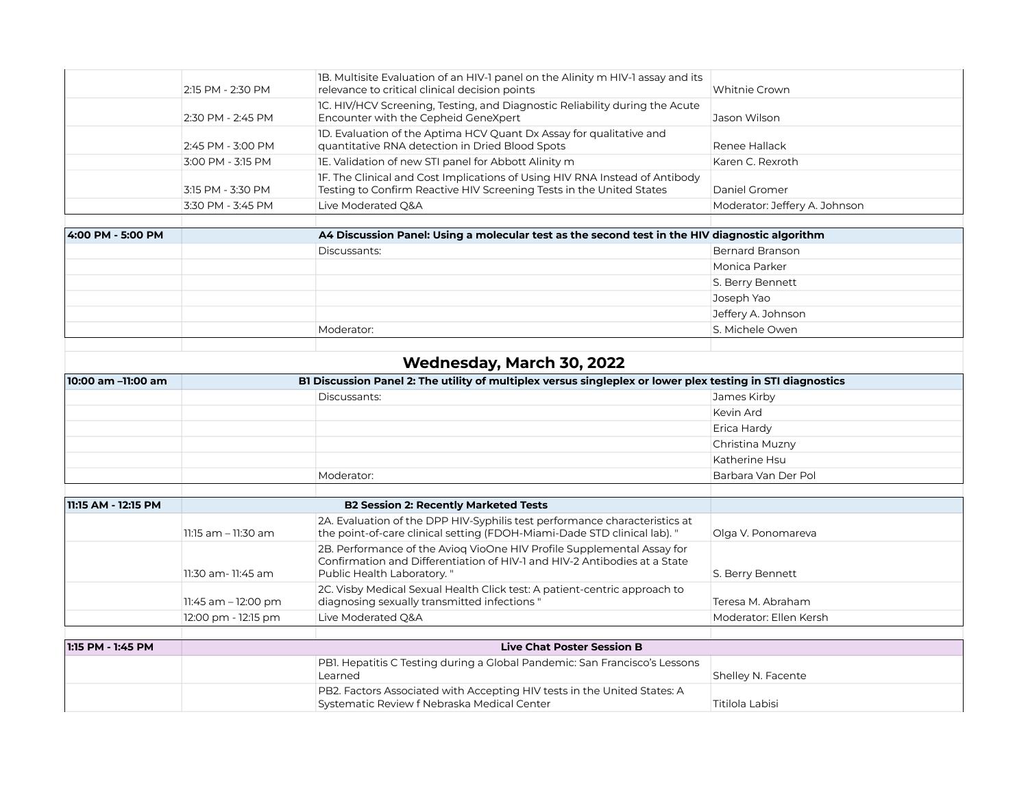| 2:15 PM - 2:30 PM | 1B. Multisite Evaluation of an HIV-1 panel on the Alinity m HIV-1 assay and its<br>relevance to critical clinical decision points                   | Whitnie Crown                 |
|-------------------|-----------------------------------------------------------------------------------------------------------------------------------------------------|-------------------------------|
| 2:30 PM - 2:45 PM | IC. HIV/HCV Screening, Testing, and Diagnostic Reliability during the Acute<br>Encounter with the Cepheid GeneXpert                                 | Jason Wilson                  |
| 2:45 PM - 3:00 PM | 1D. Evaluation of the Aptima HCV Quant Dx Assay for qualitative and<br>quantitative RNA detection in Dried Blood Spots                              | Renee Hallack                 |
| 3:00 PM - 3:15 PM | IE. Validation of new STI panel for Abbott Alinity m                                                                                                | Karen C. Rexroth              |
| 3:15 PM - 3:30 PM | IF. The Clinical and Cost Implications of Using HIV RNA Instead of Antibody<br>Testing to Confirm Reactive HIV Screening Tests in the United States | Daniel Gromer                 |
| 3:30 PM - 3:45 PM | Live Moderated Q&A                                                                                                                                  | Moderator: Jeffery A. Johnson |
|                   |                                                                                                                                                     |                               |

| 4:00 PM - 5:00 PM | A4 Discussion Panel: Using a molecular test as the second test in the HIV diagnostic algorithm |                    |
|-------------------|------------------------------------------------------------------------------------------------|--------------------|
|                   | Discussants:                                                                                   | Bernard Branson    |
|                   |                                                                                                | Monica Parker      |
|                   |                                                                                                | S. Berry Bennett   |
|                   |                                                                                                | Joseph Yao         |
|                   |                                                                                                | Jeffery A. Johnson |
|                   | Moderator:                                                                                     | S. Michele Owen    |
|                   |                                                                                                |                    |

## **Wednesday, March 30, 2022**

| 10:00 am -11:00 am  | BI Discussion Panel 2: The utility of multiplex versus singleplex or lower plex testing in STI diagnostics |                                                                                                                                                                                   |                        |  |
|---------------------|------------------------------------------------------------------------------------------------------------|-----------------------------------------------------------------------------------------------------------------------------------------------------------------------------------|------------------------|--|
|                     |                                                                                                            | Discussants:                                                                                                                                                                      | James Kirby            |  |
|                     |                                                                                                            |                                                                                                                                                                                   | Kevin Ard              |  |
|                     |                                                                                                            |                                                                                                                                                                                   | Erica Hardy            |  |
|                     |                                                                                                            |                                                                                                                                                                                   | Christina Muzny        |  |
|                     |                                                                                                            |                                                                                                                                                                                   | Katherine Hsu          |  |
|                     |                                                                                                            | Moderator:                                                                                                                                                                        | Barbara Van Der Pol    |  |
|                     |                                                                                                            |                                                                                                                                                                                   |                        |  |
| 11:15 AM - 12:15 PM |                                                                                                            | <b>B2 Session 2: Recently Marketed Tests</b>                                                                                                                                      |                        |  |
|                     | $11:15$ am $-11:30$ am                                                                                     | 2A. Evaluation of the DPP HIV-Syphilis test performance characteristics at<br>the point-of-care clinical setting (FDOH-Miami-Dade STD clinical lab). "                            | Olga V. Ponomareva     |  |
|                     | 11:30 am- 11:45 am                                                                                         | 2B. Performance of the Aviog VioOne HIV Profile Supplemental Assay for<br>Confirmation and Differentiation of HIV-1 and HIV-2 Antibodies at a State<br>Public Health Laboratory." | S. Berry Bennett       |  |
|                     | 11:45 am - 12:00 pm                                                                                        | 2C. Visby Medical Sexual Health Click test: A patient-centric approach to<br>diagnosing sexually transmitted infections "                                                         | Teresa M. Abraham      |  |
|                     | 12:00 pm - 12:15 pm                                                                                        | Live Moderated O&A                                                                                                                                                                | Moderator: Ellen Kersh |  |
|                     |                                                                                                            |                                                                                                                                                                                   |                        |  |
| 1:15 PM - 1:45 PM   | <b>Live Chat Poster Session B</b>                                                                          |                                                                                                                                                                                   |                        |  |
|                     |                                                                                                            | PB1. Hepatitis C Testing during a Global Pandemic: San Francisco's Lessons<br>Learned                                                                                             | Shelley N. Facente     |  |
|                     |                                                                                                            | PB2. Factors Associated with Accepting HIV tests in the United States: A<br>Systematic Review f Nebraska Medical Center                                                           | Titilola Labisi        |  |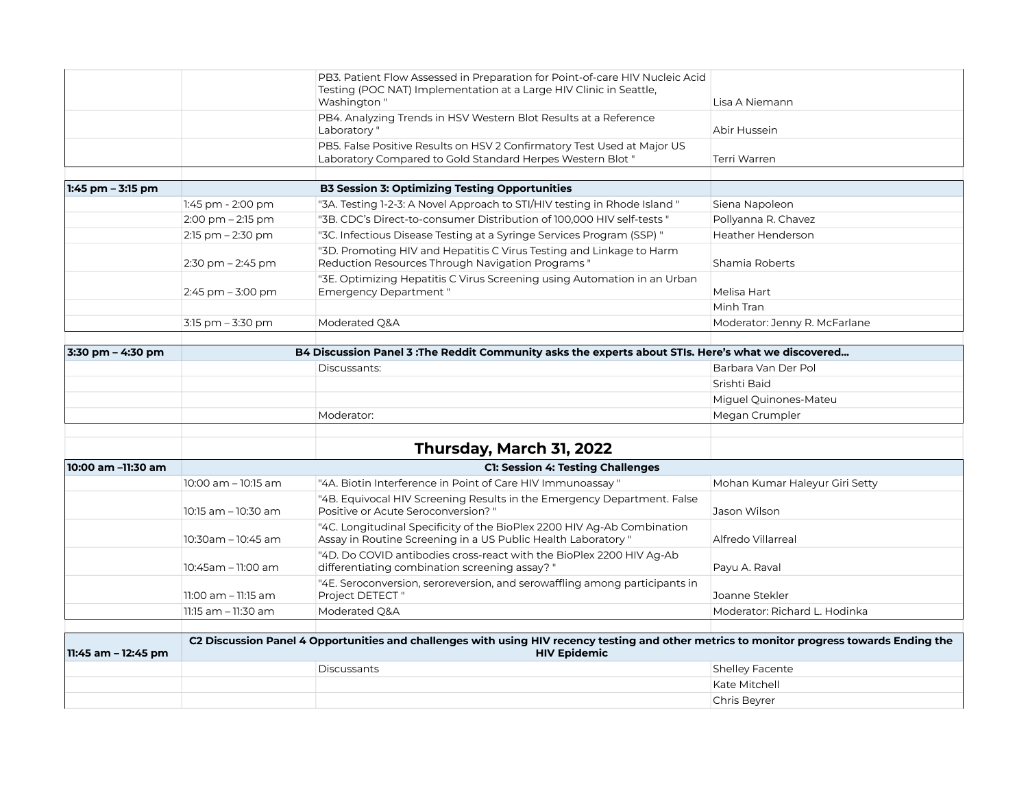| PB3. Patient Flow Assessed in Preparation for Point-of-care HIV Nucleic Acid<br>Testing (POC NAT) Implementation at a Large HIV Clinic in Seattle,<br>Washington " | Lisa A Niemann |
|--------------------------------------------------------------------------------------------------------------------------------------------------------------------|----------------|
| PB4. Analyzing Trends in HSV Western Blot Results at a Reference<br>Laboratory "                                                                                   | Abir Hussein   |
| PB5. False Positive Results on HSV 2 Confirmatory Test Used at Major US<br>Laboratory Compared to Gold Standard Herpes Western Blot "                              | Terri Warren   |

| 1:45 pm – 3:15 pm |                                     | <b>B3 Session 3: Optimizing Testing Opportunities</b>                                                                    |                               |
|-------------------|-------------------------------------|--------------------------------------------------------------------------------------------------------------------------|-------------------------------|
|                   | 1:45 pm - 2:00 pm                   | "3A. Testing 1-2-3: A Novel Approach to STI/HIV testing in Rhode Island "                                                | Siena Napoleon                |
|                   | $2:00 \text{ pm} - 2:15 \text{ pm}$ | "3B. CDC's Direct-to-consumer Distribution of 100,000 HIV self-tests "                                                   | Pollyanna R. Chavez           |
|                   | $2:15$ pm $-2:30$ pm                | "3C. Infectious Disease Testing at a Syringe Services Program (SSP)"                                                     | <b>Heather Henderson</b>      |
|                   | $2:30$ pm $-2:45$ pm                | "3D. Promoting HIV and Hepatitis C Virus Testing and Linkage to Harm<br>Reduction Resources Through Navigation Programs" | Shamia Roberts                |
|                   | $2:45$ pm $-3:00$ pm                | "3E. Optimizing Hepatitis C Virus Screening using Automation in an Urban<br><b>Emergency Department</b> "                | Melisa Hart                   |
|                   |                                     |                                                                                                                          | Minh Tran                     |
|                   | $3:15$ pm $-3:30$ pm                | Moderated Q&A                                                                                                            | Moderator: Jenny R. McFarlane |

| 3:30 pm – 4:30 pm | B4 Discussion Panel 3 : The Reddit Community asks the experts about STIs. Here's what we discovered |                       |  |
|-------------------|-----------------------------------------------------------------------------------------------------|-----------------------|--|
|                   | Discussants:                                                                                        | Barbara Van Der Pol   |  |
|                   |                                                                                                     | Srishti Baid          |  |
|                   |                                                                                                     | Miguel Quinones-Mateu |  |
|                   | Moderator:                                                                                          | Megan Crumpler        |  |
|                   |                                                                                                     |                       |  |

## **Thursday, March 31, 2022**

| 10:00 am -11:30 am | <b>C1: Session 4: Testing Challenges</b> |                                                                                                                                         |                                |
|--------------------|------------------------------------------|-----------------------------------------------------------------------------------------------------------------------------------------|--------------------------------|
|                    | $10:00$ am $-10:15$ am                   | "4A. Biotin Interference in Point of Care HIV Immunoassay"                                                                              | Mohan Kumar Haleyur Giri Setty |
|                    | $10:15$ am $-10:30$ am                   | "4B. Equivocal HIV Screening Results in the Emergency Department. False<br>Positive or Acute Seroconversion? "                          | Jason Wilson                   |
|                    | $10:30$ am - $10:45$ am                  | "4C. Longitudinal Specificity of the BioPlex 2200 HIV Ag-Ab Combination<br>Assay in Routine Screening in a US Public Health Laboratory" | Alfredo Villarreal             |
|                    | $10:45$ am - 11:00 am                    | "4D. Do COVID antibodies cross-react with the BioPlex 2200 HIV Ag-Ab<br>differentiating combination screening assay? "                  | Payu A. Raval                  |
|                    | $11:00$ am $-11:15$ am                   | "4E. Seroconversion, seroreversion, and serowaffling among participants in<br>Project DETECT"                                           | Joanne Stekler                 |
|                    | $11:15$ am $-11:30$ am                   | Moderated O&A                                                                                                                           | Moderator: Richard L. Hodinka  |
|                    |                                          |                                                                                                                                         |                                |

| 11:45 am – 12:45 pm | C2 Discussion Panel 4 Opportunities and challenges with using HIV recency testing and other metrics to monitor progress towards Ending the<br><b>HIV Epidemic</b> |                    |                        |
|---------------------|-------------------------------------------------------------------------------------------------------------------------------------------------------------------|--------------------|------------------------|
|                     |                                                                                                                                                                   | <b>Discussants</b> | <b>Shelley Facente</b> |
|                     |                                                                                                                                                                   |                    | Kate Mitchell          |
|                     |                                                                                                                                                                   |                    | Chris Bevrer           |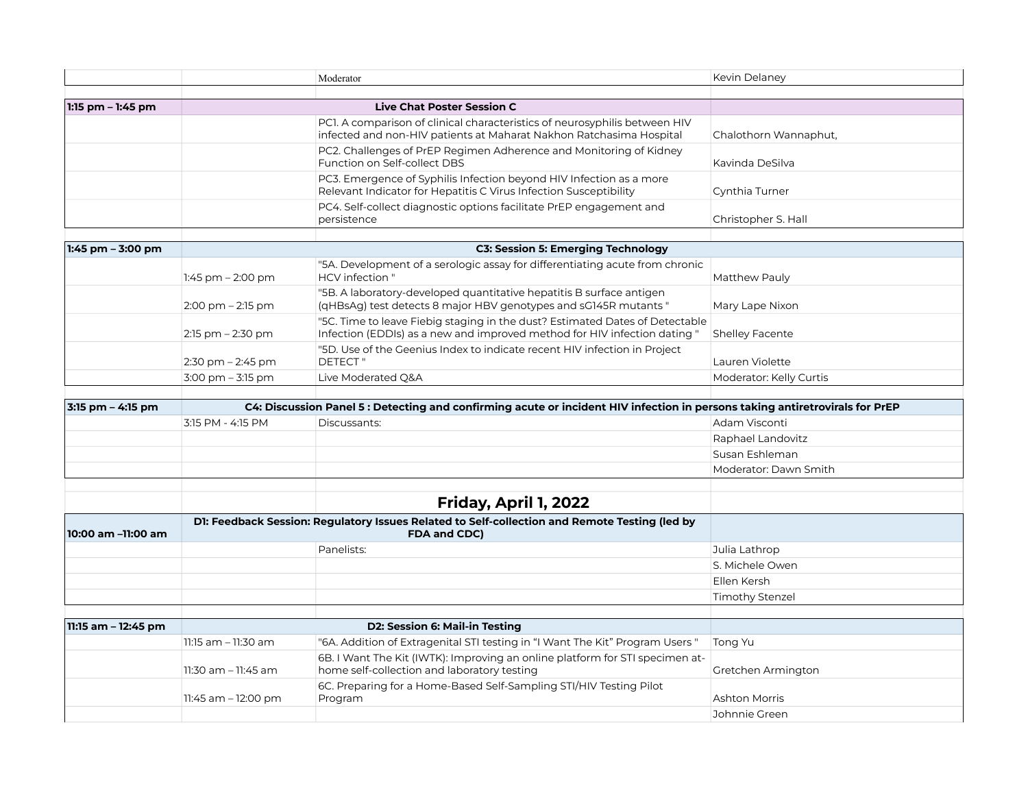|                      |                                           | Moderator                                                                                                                                                 | Kevin Delaney           |
|----------------------|-------------------------------------------|-----------------------------------------------------------------------------------------------------------------------------------------------------------|-------------------------|
|                      |                                           |                                                                                                                                                           |                         |
| 1:15 pm – 1:45 pm    |                                           | <b>Live Chat Poster Session C</b>                                                                                                                         |                         |
|                      |                                           | PC1. A comparison of clinical characteristics of neurosyphilis between HIV<br>infected and non-HIV patients at Maharat Nakhon Ratchasima Hospital         | Chalothorn Wannaphut,   |
|                      |                                           | PC2. Challenges of PrEP Regimen Adherence and Monitoring of Kidney<br>Function on Self-collect DBS                                                        | Kavinda DeSilva         |
|                      |                                           | PC3. Emergence of Syphilis Infection beyond HIV Infection as a more<br>Relevant Indicator for Hepatitis C Virus Infection Susceptibility                  | Cynthia Turner          |
|                      |                                           | PC4. Self-collect diagnostic options facilitate PrEP engagement and<br>persistence                                                                        | Christopher S. Hall     |
|                      |                                           |                                                                                                                                                           |                         |
| $1:45$ pm $-3:00$ pm | <b>C3: Session 5: Emerging Technology</b> |                                                                                                                                                           |                         |
|                      | 1:45 pm $-$ 2:00 pm                       | "5A. Development of a serologic assay for differentiating acute from chronic<br>HCV infection "                                                           | Matthew Pauly           |
|                      | $2:00$ pm $-2:15$ pm                      | "5B. A laboratory-developed quantitative hepatitis B surface antigen<br>(qHBsAg) test detects 8 major HBV genotypes and sG145R mutants "                  | Mary Lape Nixon         |
|                      | $2:15$ pm $-2:30$ pm                      | "5C. Time to leave Fiebig staging in the dust? Estimated Dates of Detectable<br>Infection (EDDIs) as a new and improved method for HIV infection dating " | <b>Shelley Facente</b>  |
|                      |                                           | "5D. Use of the Geenius Index to indicate recent HIV infection in Project                                                                                 |                         |
|                      | $2:30$ pm $-2:45$ pm                      | <b>DETECT</b> "                                                                                                                                           | Lauren Violette         |
|                      | $3:00$ pm $-3:15$ pm                      | Live Moderated Q&A                                                                                                                                        | Moderator: Kelly Curtis |
|                      |                                           |                                                                                                                                                           |                         |
| 3:15 pm - 4:15 pm    |                                           | C4: Discussion Panel 5 : Detecting and confirming acute or incident HIV infection in persons taking antiretrovirals for PrEP                              |                         |
|                      | 3:15 PM - 4:15 PM                         | Discussants:                                                                                                                                              | Adam Visconti           |
|                      |                                           |                                                                                                                                                           | Raphael Landovitz       |
|                      |                                           |                                                                                                                                                           | Susan Eshleman          |
|                      |                                           |                                                                                                                                                           | Moderator: Dawn Smith   |
|                      |                                           |                                                                                                                                                           |                         |
|                      |                                           | Friday, April 1, 2022                                                                                                                                     |                         |
| 10:00 am –11:00 am   |                                           | D1: Feedback Session: Regulatory Issues Related to Self-collection and Remote Testing (led by<br><b>FDA and CDC)</b>                                      |                         |
|                      |                                           | Panelists:                                                                                                                                                | Julia Lathrop           |
|                      |                                           |                                                                                                                                                           | S. Michele Owen         |
|                      |                                           |                                                                                                                                                           | Ellen Kersh             |
|                      |                                           |                                                                                                                                                           | <b>Timothy Stenzel</b>  |
|                      |                                           |                                                                                                                                                           |                         |
| 11:15 am - 12:45 pm  |                                           | D2: Session 6: Mail-in Testing                                                                                                                            |                         |
|                      | 11:15 am - 11:30 am                       | "6A. Addition of Extragenital STI testing in "I Want The Kit" Program Users "                                                                             | Tong Yu                 |
|                      | 11:30 am - 11:45 am                       | 6B. I Want The Kit (IWTK): Improving an online platform for STI specimen at-<br>home self-collection and laboratory testing                               | Gretchen Armington      |
|                      | 11:45 am - 12:00 pm                       | 6C. Preparing for a Home-Based Self-Sampling STI/HIV Testing Pilot<br>Program                                                                             | Ashton Morris           |

Ashton Morris Johnnie Green